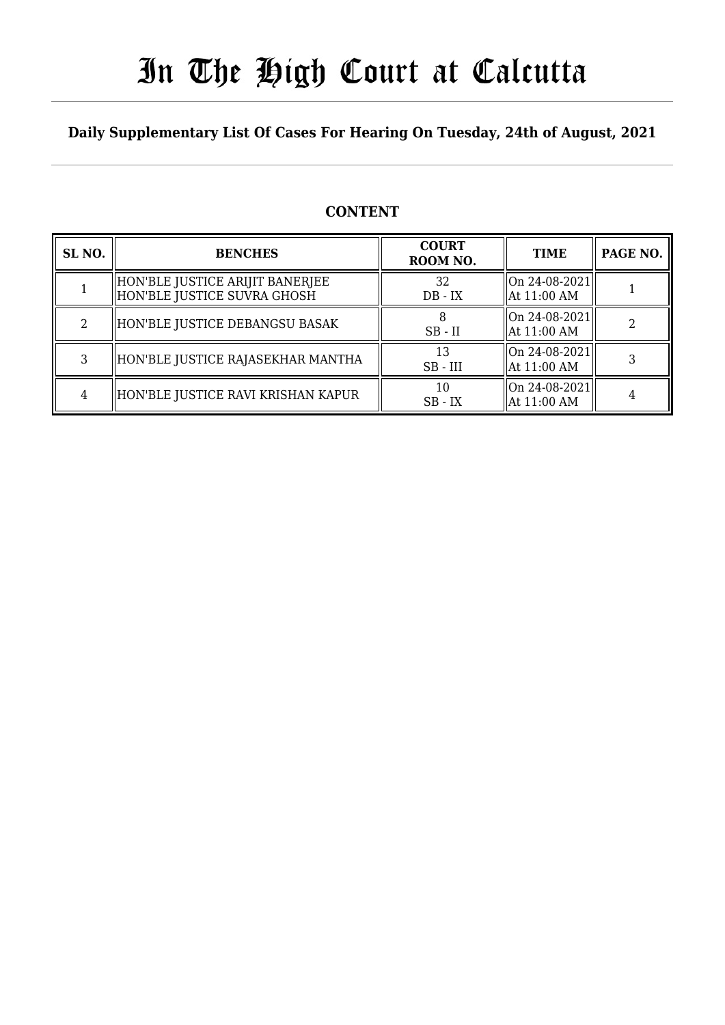# In The High Court at Calcutta

### **Daily Supplementary List Of Cases For Hearing On Tuesday, 24th of August, 2021**

### **CONTENT**

| SL <sub>NO.</sub> | <b>BENCHES</b>                                                 | <b>COURT</b><br>ROOM NO. | <b>TIME</b>                     | PAGE NO. |
|-------------------|----------------------------------------------------------------|--------------------------|---------------------------------|----------|
|                   | HON'BLE JUSTICE ARIJIT BANERJEE<br>HON'BLE JUSTICE SUVRA GHOSH | 32<br>$DB - IX$          | On 24-08-2021 <br>  At 11:00 AM |          |
|                   | HON'BLE JUSTICE DEBANGSU BASAK                                 | $SB$ - $II$              | On 24-08-2021 <br>  At 11:00 AM |          |
| 3                 | HON'BLE JUSTICE RAJASEKHAR MANTHA                              | 13<br>$SB$ - $III$       | On 24-08-2021 <br>  At 11:00 AM |          |
|                   | HON'BLE JUSTICE RAVI KRISHAN KAPUR                             | 10<br>$SB - IX$          | On 24-08-2021 <br>  At 11:00 AM |          |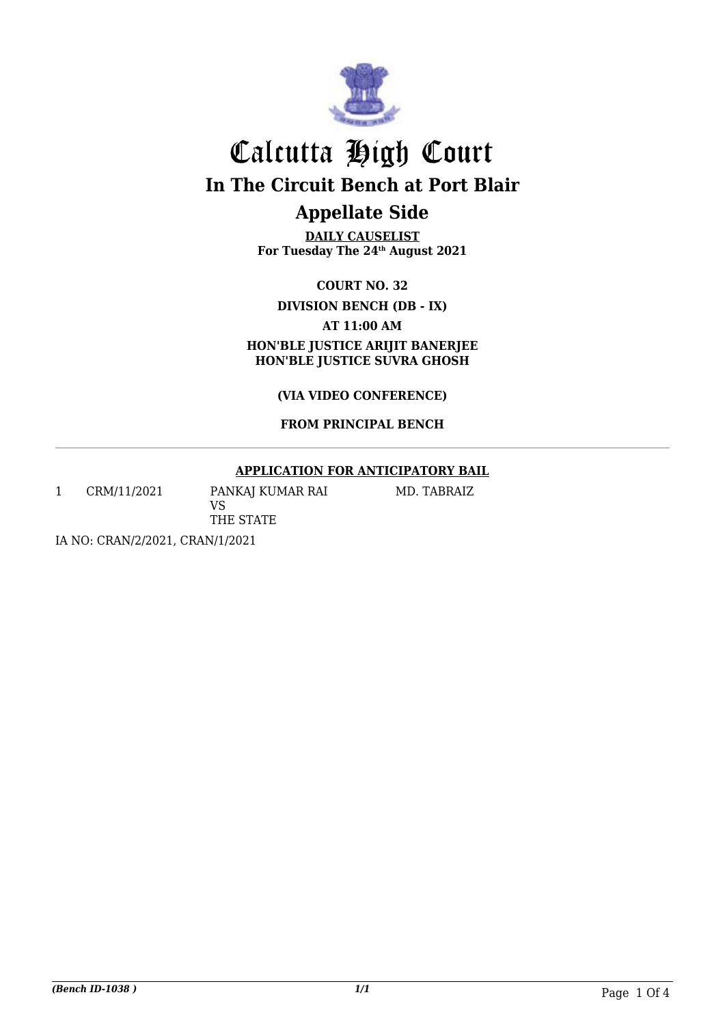

**DAILY CAUSELIST For Tuesday The 24th August 2021**

**COURT NO. 32**

**DIVISION BENCH (DB - IX)**

**AT 11:00 AM**

**HON'BLE JUSTICE ARIJIT BANERJEE HON'BLE JUSTICE SUVRA GHOSH**

**(VIA VIDEO CONFERENCE)**

### **FROM PRINCIPAL BENCH**

### **APPLICATION FOR ANTICIPATORY BAIL**

1 CRM/11/2021 PANKAJ KUMAR RAI

MD. TABRAIZ

VS THE STATE

IA NO: CRAN/2/2021, CRAN/1/2021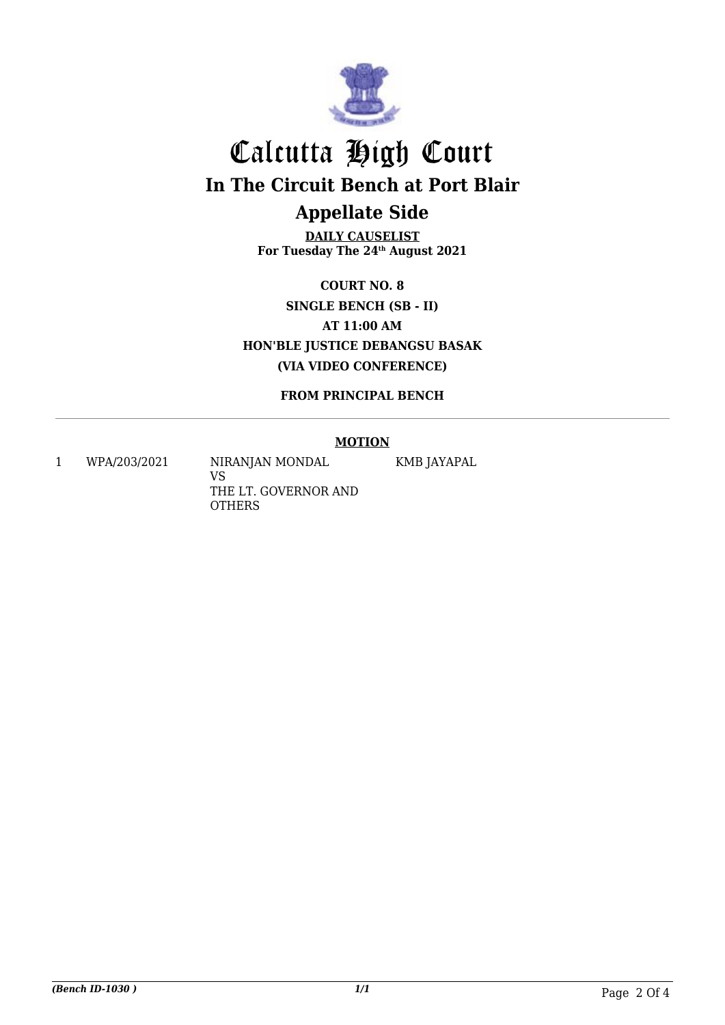

**DAILY CAUSELIST For Tuesday The 24th August 2021**

**COURT NO. 8 SINGLE BENCH (SB - II) AT 11:00 AM HON'BLE JUSTICE DEBANGSU BASAK (VIA VIDEO CONFERENCE)**

**FROM PRINCIPAL BENCH**

#### **MOTION**

KMB JAYAPAL

1 WPA/203/2021 NIRANJAN MONDAL VS THE LT. GOVERNOR AND **OTHERS** 

*(Bench ID-1030 ) 1/1* Page 2 Of 4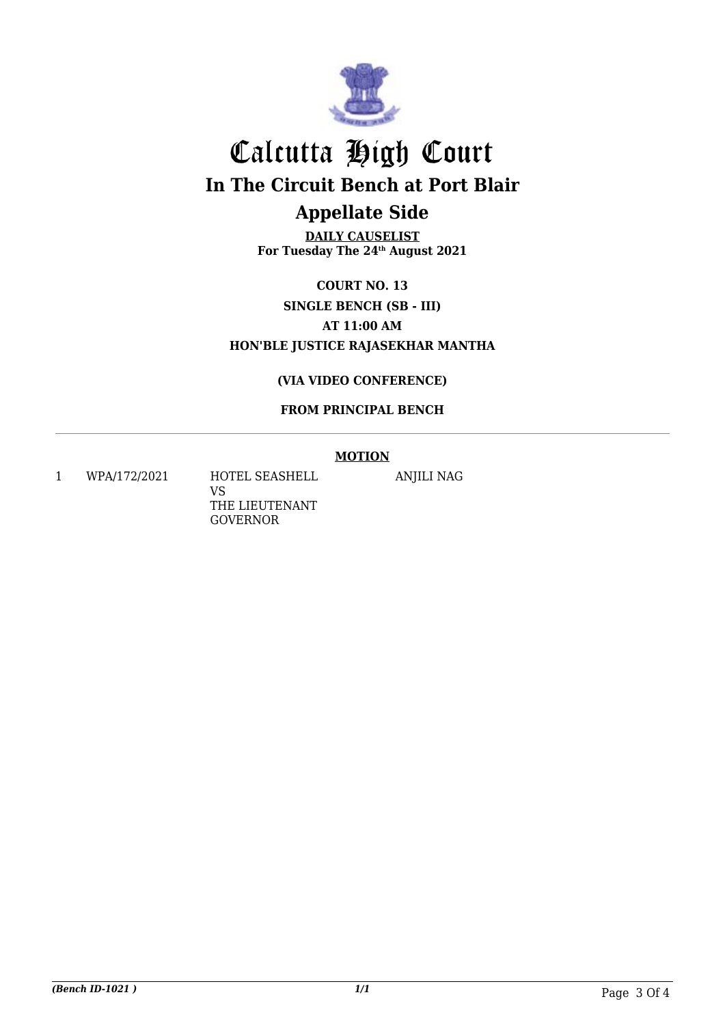

**DAILY CAUSELIST For Tuesday The 24th August 2021**

**COURT NO. 13 SINGLE BENCH (SB - III) AT 11:00 AM HON'BLE JUSTICE RAJASEKHAR MANTHA**

### **(VIA VIDEO CONFERENCE)**

### **FROM PRINCIPAL BENCH**

#### **MOTION**

1 WPA/172/2021 HOTEL SEASHELL VS THE LIEUTENANT GOVERNOR

ANJILI NAG